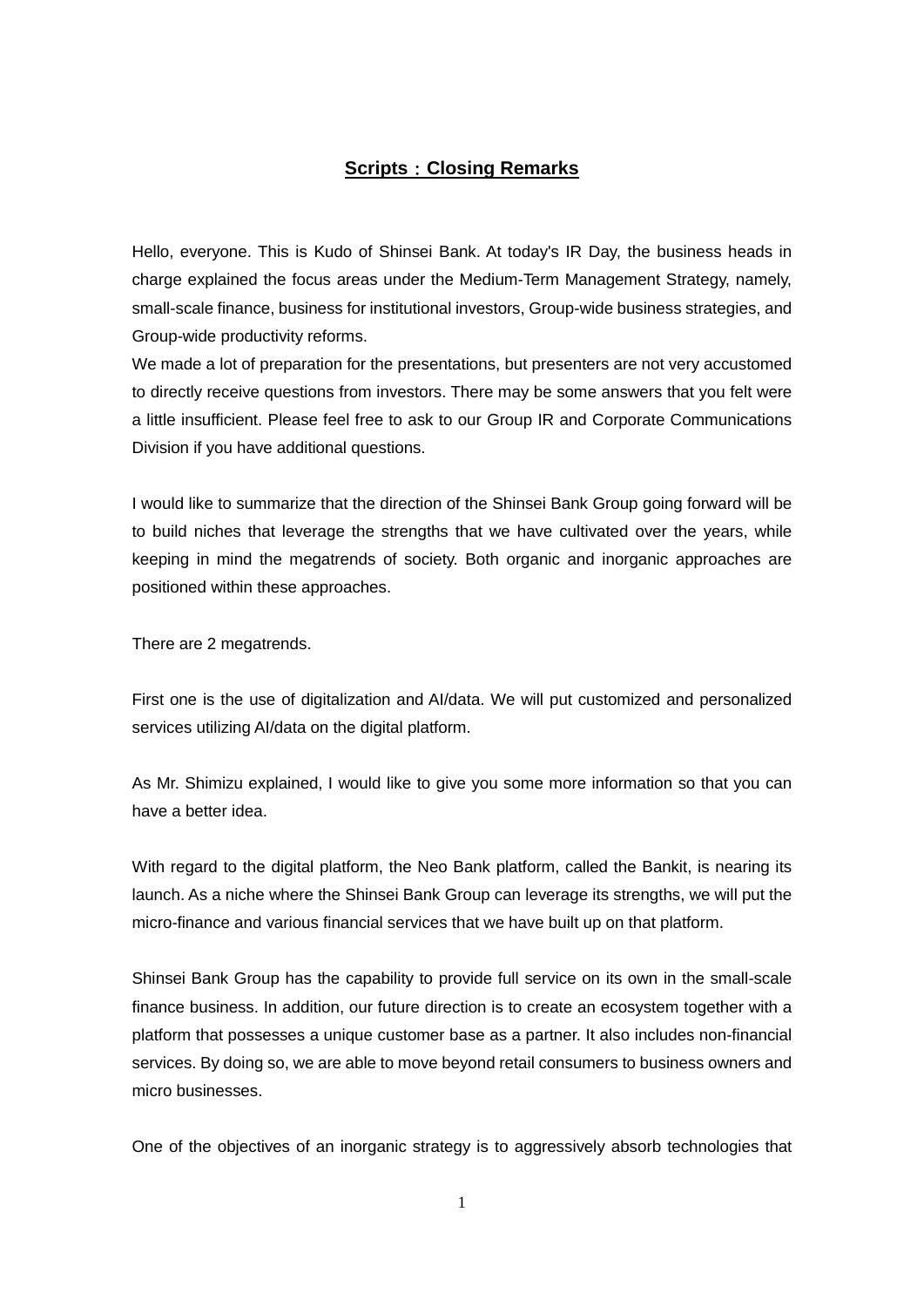## **Scripts**:**Closing Remarks**

Hello, everyone. This is Kudo of Shinsei Bank. At today's IR Day, the business heads in charge explained the focus areas under the Medium-Term Management Strategy, namely, small-scale finance, business for institutional investors, Group-wide business strategies, and Group-wide productivity reforms.

We made a lot of preparation for the presentations, but presenters are not very accustomed to directly receive questions from investors. There may be some answers that you felt were a little insufficient. Please feel free to ask to our Group IR and Corporate Communications Division if you have additional questions.

I would like to summarize that the direction of the Shinsei Bank Group going forward will be to build niches that leverage the strengths that we have cultivated over the years, while keeping in mind the megatrends of society. Both organic and inorganic approaches are positioned within these approaches.

There are 2 megatrends.

First one is the use of digitalization and AI/data. We will put customized and personalized services utilizing AI/data on the digital platform.

As Mr. Shimizu explained, I would like to give you some more information so that you can have a better idea.

With regard to the digital platform, the Neo Bank platform, called the Bankit, is nearing its launch. As a niche where the Shinsei Bank Group can leverage its strengths, we will put the micro-finance and various financial services that we have built up on that platform.

Shinsei Bank Group has the capability to provide full service on its own in the small-scale finance business. In addition, our future direction is to create an ecosystem together with a platform that possesses a unique customer base as a partner. It also includes non-financial services. By doing so, we are able to move beyond retail consumers to business owners and micro businesses.

One of the objectives of an inorganic strategy is to aggressively absorb technologies that